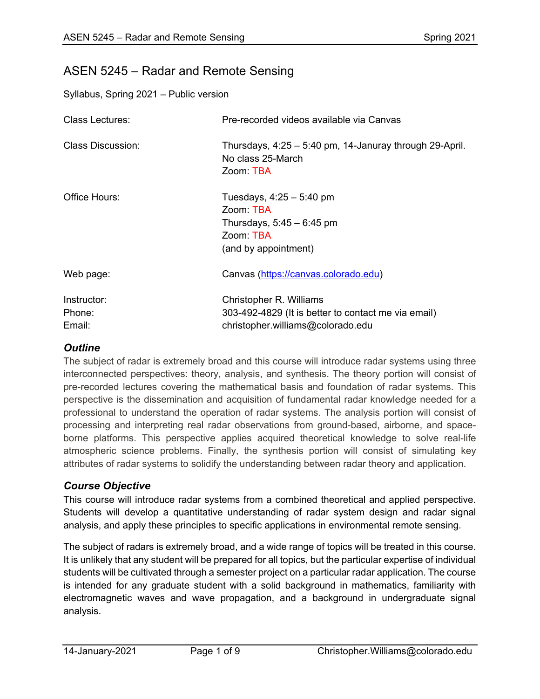# ASEN 5245 – Radar and Remote Sensing

Syllabus, Spring 2021 – Public version

| <b>Class Lectures:</b>          | Pre-recorded videos available via Canvas                                                                            |  |  |
|---------------------------------|---------------------------------------------------------------------------------------------------------------------|--|--|
| Class Discussion:               | Thursdays, $4:25 - 5:40$ pm, 14-Januray through 29-April.<br>No class 25-March<br>Zoom TBA                          |  |  |
| Office Hours:                   | Tuesdays, $4:25 - 5:40$ pm<br>Zoom: TBA<br>Thursdays, $5:45 - 6:45$ pm<br>Zoom: TBA<br>(and by appointment)         |  |  |
| Web page:                       | Canvas (https://canvas.colorado.edu)                                                                                |  |  |
| Instructor:<br>Phone:<br>Email: | Christopher R. Williams<br>303-492-4829 (It is better to contact me via email)<br>christopher.williams@colorado.edu |  |  |

## *Outline*

The subject of radar is extremely broad and this course will introduce radar systems using three interconnected perspectives: theory, analysis, and synthesis. The theory portion will consist of pre-recorded lectures covering the mathematical basis and foundation of radar systems. This perspective is the dissemination and acquisition of fundamental radar knowledge needed for a professional to understand the operation of radar systems. The analysis portion will consist of processing and interpreting real radar observations from ground-based, airborne, and spaceborne platforms. This perspective applies acquired theoretical knowledge to solve real-life atmospheric science problems. Finally, the synthesis portion will consist of simulating key attributes of radar systems to solidify the understanding between radar theory and application.

## *Course Objective*

This course will introduce radar systems from a combined theoretical and applied perspective. Students will develop a quantitative understanding of radar system design and radar signal analysis, and apply these principles to specific applications in environmental remote sensing.

The subject of radars is extremely broad, and a wide range of topics will be treated in this course. It is unlikely that any student will be prepared for all topics, but the particular expertise of individual students will be cultivated through a semester project on a particular radar application. The course is intended for any graduate student with a solid background in mathematics, familiarity with electromagnetic waves and wave propagation, and a background in undergraduate signal analysis.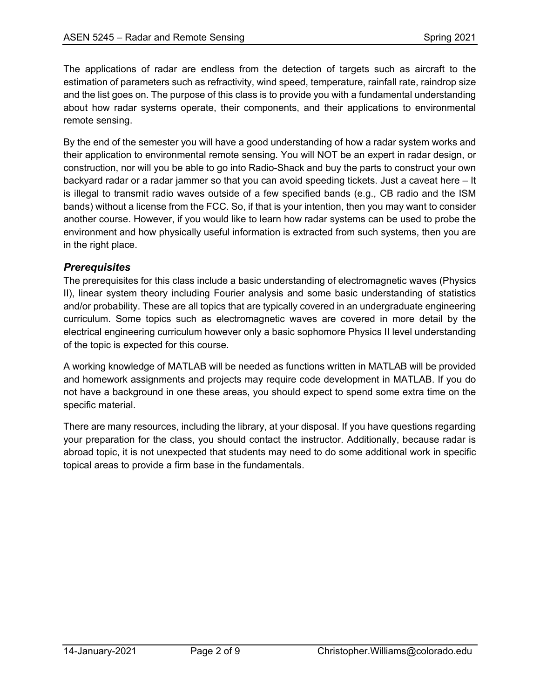The applications of radar are endless from the detection of targets such as aircraft to the estimation of parameters such as refractivity, wind speed, temperature, rainfall rate, raindrop size and the list goes on. The purpose of this class is to provide you with a fundamental understanding about how radar systems operate, their components, and their applications to environmental remote sensing.

By the end of the semester you will have a good understanding of how a radar system works and their application to environmental remote sensing. You will NOT be an expert in radar design, or construction, nor will you be able to go into Radio-Shack and buy the parts to construct your own backyard radar or a radar jammer so that you can avoid speeding tickets. Just a caveat here – It is illegal to transmit radio waves outside of a few specified bands (e.g., CB radio and the ISM bands) without a license from the FCC. So, if that is your intention, then you may want to consider another course. However, if you would like to learn how radar systems can be used to probe the environment and how physically useful information is extracted from such systems, then you are in the right place.

## *Prerequisites*

The prerequisites for this class include a basic understanding of electromagnetic waves (Physics II), linear system theory including Fourier analysis and some basic understanding of statistics and/or probability. These are all topics that are typically covered in an undergraduate engineering curriculum. Some topics such as electromagnetic waves are covered in more detail by the electrical engineering curriculum however only a basic sophomore Physics II level understanding of the topic is expected for this course.

A working knowledge of MATLAB will be needed as functions written in MATLAB will be provided and homework assignments and projects may require code development in MATLAB. If you do not have a background in one these areas, you should expect to spend some extra time on the specific material.

There are many resources, including the library, at your disposal. If you have questions regarding your preparation for the class, you should contact the instructor. Additionally, because radar is abroad topic, it is not unexpected that students may need to do some additional work in specific topical areas to provide a firm base in the fundamentals.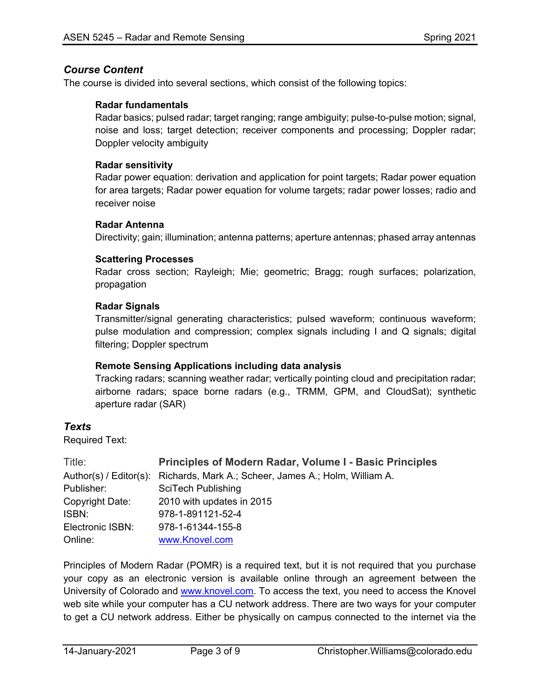#### *Course Content*

The course is divided into several sections, which consist of the following topics:

#### **Radar fundamentals**

Radar basics; pulsed radar; target ranging; range ambiguity; pulse-to-pulse motion; signal, noise and loss; target detection; receiver components and processing; Doppler radar; Doppler velocity ambiguity

#### **Radar sensitivity**

Radar power equation: derivation and application for point targets; Radar power equation for area targets; Radar power equation for volume targets; radar power losses; radio and receiver noise

#### **Radar Antenna**

Directivity; gain; illumination; antenna patterns; aperture antennas; phased array antennas

#### **Scattering Processes**

Radar cross section; Rayleigh; Mie; geometric; Bragg; rough surfaces; polarization, propagation

#### **Radar Signals**

Transmitter/signal generating characteristics; pulsed waveform; continuous waveform; pulse modulation and compression; complex signals including I and Q signals; digital filtering; Doppler spectrum

#### **Remote Sensing Applications including data analysis**

Tracking radars; scanning weather radar; vertically pointing cloud and precipitation radar; airborne radars; space borne radars (e.g., TRMM, GPM, and CloudSat); synthetic aperture radar (SAR)

#### *Texts*

Required Text:

| Title:           | <b>Principles of Modern Radar, Volume I - Basic Principles</b>               |
|------------------|------------------------------------------------------------------------------|
|                  | Author(s) / Editor(s): Richards, Mark A.; Scheer, James A.; Holm, William A. |
| Publisher:       | SciTech Publishing                                                           |
| Copyright Date:  | 2010 with updates in 2015                                                    |
| ISBN:            | 978-1-891121-52-4                                                            |
| Electronic ISBN: | 978-1-61344-155-8                                                            |
| Online:          | www.Knovel.com                                                               |

Principles of Modern Radar (POMR) is a required text, but it is not required that you purchase your copy as an electronic version is available online through an agreement between the University of Colorado and [www.knovel.com.](http://www.knovel.com/) To access the text, you need to access the Knovel web site while your computer has a CU network address. There are two ways for your computer to get a CU network address. Either be physically on campus connected to the internet via the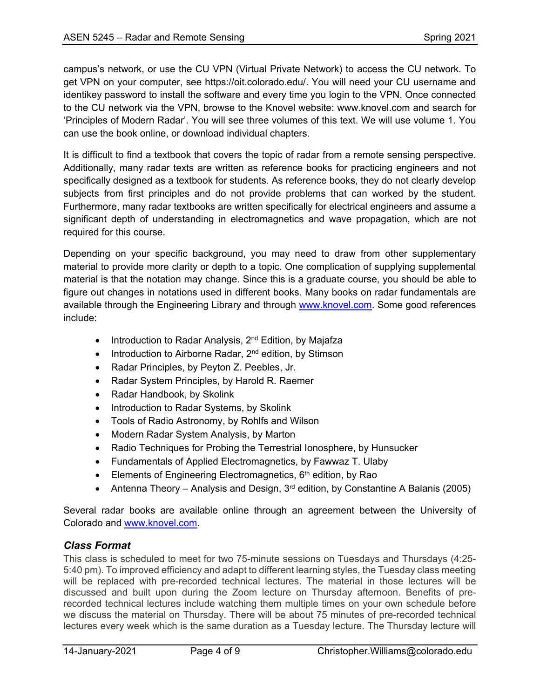campus's network, or use the CU VPN (Virtual Private Network) to access the CU network. To get VPN on your computer, see https://oit.colorado.edu/. You will need your CU username and identikey password to install the software and every time you login to the VPN. Once connected to the CU network via the VPN, browse to the Knovel website: www.knovel.com and search for 'Principles of Modern Radar'. You will see three volumes of this text. We will use volume 1. You can use the book online, or download individual chapters.

It is difficult to find a textbook that covers the topic of radar from a remote sensing perspective. Additionally, many radar texts are written as reference books for practicing engineers and not specifically designed as a textbook for students. As reference books, they do not clearly develop subjects from first principles and do not provide problems that can worked by the student. Furthermore, many radar textbooks are written specifically for electrical engineers and assume a significant depth of understanding in electromagnetics and wave propagation, which are not required for this course.

Depending on your specific background, you may need to draw from other supplementary material to provide more clarity or depth to a topic. One complication of supplying supplemental material is that the notation may change. Since this is a graduate course, you should be able to figure out changes in notations used in different books. Many books on radar fundamentals are available through the Engineering Library and through [www.knovel.com.](http://www.knovel.com/) Some good references include:

- Introduction to Radar Analysis, 2<sup>nd</sup> Edition, by Majafza
- Introduction to Airborne Radar, 2<sup>nd</sup> edition, by Stimson
- Radar Principles, by Peyton Z. Peebles, Jr.
- Radar System Principles, by Harold R. Raemer
- Radar Handbook, by Skolink
- Introduction to Radar Systems, by Skolink
- Tools of Radio Astronomy, by Rohlfs and Wilson
- Modern Radar System Analysis, by Marton
- Radio Techniques for Probing the Terrestrial Ionosphere, by Hunsucker
- Fundamentals of Applied Electromagnetics, by Fawwaz T. Ulaby
- Elements of Engineering Electromagnetics,  $6<sup>th</sup>$  edition, by Rao
- Antenna Theory Analysis and Design,  $3<sup>rd</sup>$  edition, by Constantine A Balanis (2005)

Several radar books are available online through an agreement between the University of Colorado and [www.knovel.com.](http://www.knovel.com/)

# *Class Format*

This class is scheduled to meet for two 75-minute sessions on Tuesdays and Thursdays (4:25- 5:40 pm). To improved efficiency and adapt to different learning styles, the Tuesday class meeting will be replaced with pre-recorded technical lectures. The material in those lectures will be discussed and built upon during the Zoom lecture on Thursday afternoon. Benefits of prerecorded technical lectures include watching them multiple times on your own schedule before we discuss the material on Thursday. There will be about 75 minutes of pre-recorded technical lectures every week which is the same duration as a Tuesday lecture. The Thursday lecture will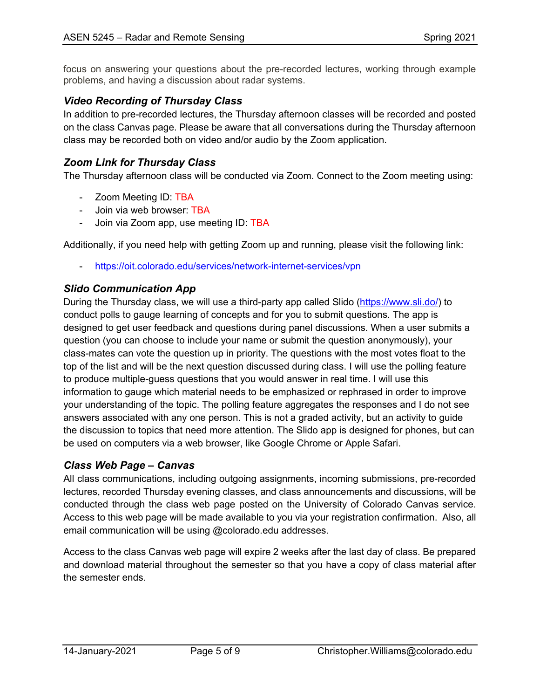focus on answering your questions about the pre-recorded lectures, working through example problems, and having a discussion about radar systems.

## *Video Recording of Thursday Class*

In addition to pre-recorded lectures, the Thursday afternoon classes will be recorded and posted on the class Canvas page. Please be aware that all conversations during the Thursday afternoon class may be recorded both on video and/or audio by the Zoom application.

# *Zoom Link for Thursday Class*

The Thursday afternoon class will be conducted via Zoom. Connect to the Zoom meeting using:

- Zoom Meeting ID: TBA
- Join via web browser: TBA
- Join via Zoom app, use meeting ID: TBA

Additionally, if you need help with getting Zoom up and running, please visit the following link:

<https://oit.colorado.edu/services/network-internet-services/vpn>

#### *Slido Communication App*

During the Thursday class, we will use a third-party app called Slido [\(https://www.sli.do/\)](https://www.sli.do/) to conduct polls to gauge learning of concepts and for you to submit questions. The app is designed to get user feedback and questions during panel discussions. When a user submits a question (you can choose to include your name or submit the question anonymously), your class-mates can vote the question up in priority. The questions with the most votes float to the top of the list and will be the next question discussed during class. I will use the polling feature to produce multiple-guess questions that you would answer in real time. I will use this information to gauge which material needs to be emphasized or rephrased in order to improve your understanding of the topic. The polling feature aggregates the responses and I do not see answers associated with any one person. This is not a graded activity, but an activity to guide the discussion to topics that need more attention. The Slido app is designed for phones, but can be used on computers via a web browser, like Google Chrome or Apple Safari.

## *Class Web Page – Canvas*

All class communications, including outgoing assignments, incoming submissions, pre-recorded lectures, recorded Thursday evening classes, and class announcements and discussions, will be conducted through the class web page posted on the University of Colorado Canvas service. Access to this web page will be made available to you via your registration confirmation. Also, all email communication will be using @colorado.edu addresses.

Access to the class Canvas web page will expire 2 weeks after the last day of class. Be prepared and download material throughout the semester so that you have a copy of class material after the semester ends.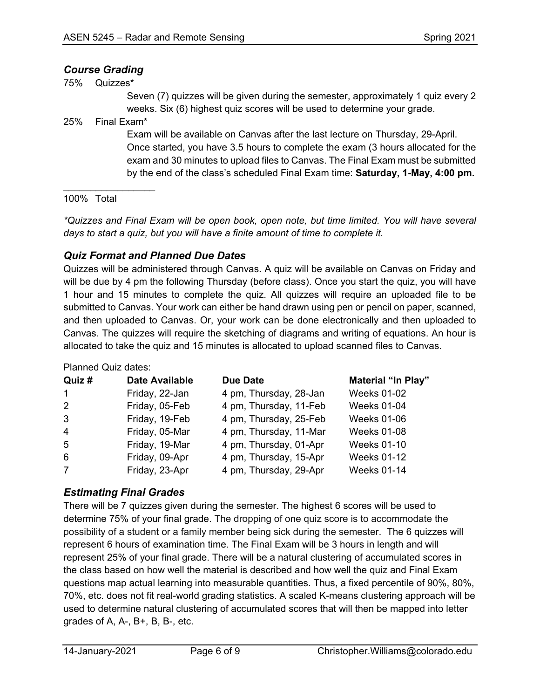## *Course Grading*

75% Quizzes\*

Seven (7) quizzes will be given during the semester, approximately 1 quiz every 2 weeks. Six (6) highest quiz scores will be used to determine your grade.

25% Final Exam\*

 $\frac{1}{2}$  ,  $\frac{1}{2}$  ,  $\frac{1}{2}$  ,  $\frac{1}{2}$  ,  $\frac{1}{2}$  ,  $\frac{1}{2}$  ,  $\frac{1}{2}$  ,  $\frac{1}{2}$  ,  $\frac{1}{2}$  ,  $\frac{1}{2}$ 

Exam will be available on Canvas after the last lecture on Thursday, 29-April. Once started, you have 3.5 hours to complete the exam (3 hours allocated for the exam and 30 minutes to upload files to Canvas. The Final Exam must be submitted by the end of the class's scheduled Final Exam time: **Saturday, 1-May, 4:00 pm.**

#### 100% Total

*\*Quizzes and Final Exam will be open book, open note, but time limited. You will have several days to start a quiz, but you will have a finite amount of time to complete it.*

## *Quiz Format and Planned Due Dates*

Quizzes will be administered through Canvas. A quiz will be available on Canvas on Friday and will be due by 4 pm the following Thursday (before class). Once you start the quiz, you will have 1 hour and 15 minutes to complete the quiz. All quizzes will require an uploaded file to be submitted to Canvas. Your work can either be hand drawn using pen or pencil on paper, scanned, and then uploaded to Canvas. Or, your work can be done electronically and then uploaded to Canvas. The quizzes will require the sketching of diagrams and writing of equations. An hour is allocated to take the quiz and 15 minutes is allocated to upload scanned files to Canvas.

Planned Quiz dates:

| Quiz #         | <b>Date Available</b> | <b>Due Date</b>        | <b>Material "In Play"</b> |
|----------------|-----------------------|------------------------|---------------------------|
| $\mathbf{1}$   | Friday, 22-Jan        | 4 pm, Thursday, 28-Jan | <b>Weeks 01-02</b>        |
| 2              | Friday, 05-Feb        | 4 pm, Thursday, 11-Feb | <b>Weeks 01-04</b>        |
| 3              | Friday, 19-Feb        | 4 pm, Thursday, 25-Feb | <b>Weeks 01-06</b>        |
| $\overline{4}$ | Friday, 05-Mar        | 4 pm, Thursday, 11-Mar | <b>Weeks 01-08</b>        |
| 5              | Friday, 19-Mar        | 4 pm, Thursday, 01-Apr | <b>Weeks 01-10</b>        |
| 6              | Friday, 09-Apr        | 4 pm, Thursday, 15-Apr | <b>Weeks 01-12</b>        |
| $\overline{7}$ | Friday, 23-Apr        | 4 pm, Thursday, 29-Apr | <b>Weeks 01-14</b>        |

# *Estimating Final Grades*

There will be 7 quizzes given during the semester. The highest 6 scores will be used to determine 75% of your final grade. The dropping of one quiz score is to accommodate the possibility of a student or a family member being sick during the semester. The 6 quizzes will represent 6 hours of examination time. The Final Exam will be 3 hours in length and will represent 25% of your final grade. There will be a natural clustering of accumulated scores in the class based on how well the material is described and how well the quiz and Final Exam questions map actual learning into measurable quantities. Thus, a fixed percentile of 90%, 80%, 70%, etc. does not fit real-world grading statistics. A scaled K-means clustering approach will be used to determine natural clustering of accumulated scores that will then be mapped into letter grades of A, A-, B+, B, B-, etc.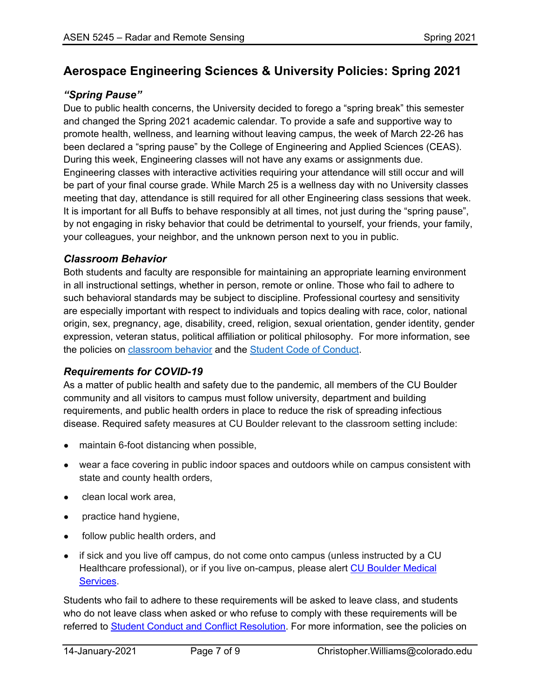# **Aerospace Engineering Sciences & University Policies: Spring 2021**

# *"Spring Pause"*

Due to public health concerns, the University decided to forego a "spring break" this semester and changed the Spring 2021 academic calendar. To provide a safe and supportive way to promote health, wellness, and learning without leaving campus, the week of March 22-26 has been declared a "spring pause" by the College of Engineering and Applied Sciences (CEAS). During this week, Engineering classes will not have any exams or assignments due. Engineering classes with interactive activities requiring your attendance will still occur and will be part of your final course grade. While March 25 is a wellness day with no University classes meeting that day, attendance is still required for all other Engineering class sessions that week. It is important for all Buffs to behave responsibly at all times, not just during the "spring pause", by not engaging in risky behavior that could be detrimental to yourself, your friends, your family, your colleagues, your neighbor, and the unknown person next to you in public.

## *Classroom Behavior*

Both students and faculty are responsible for maintaining an appropriate learning environment in all instructional settings, whether in person, remote or online. Those who fail to adhere to such behavioral standards may be subject to discipline. Professional courtesy and sensitivity are especially important with respect to individuals and topics dealing with race, color, national origin, sex, pregnancy, age, disability, creed, religion, sexual orientation, gender identity, gender expression, veteran status, political affiliation or political philosophy. For more information, see the policies on [classroom behavior](http://www.colorado.edu/policies/student-classroom-and-course-related-behavior) and the [Student Code of Conduct.](https://www.colorado.edu/sccr/sites/default/files/attached-files/2020-2021_student_code_of_conduct_0.pdf)

# *Requirements for COVID-19*

As a matter of public health and safety due to the pandemic, all members of the CU Boulder community and all visitors to campus must follow university, department and building requirements, and public health orders in place to reduce the risk of spreading infectious disease. Required safety measures at CU Boulder relevant to the classroom setting include:

- maintain 6-foot distancing when possible,
- wear a face covering in public indoor spaces and outdoors while on campus consistent with state and county health orders,
- clean local work area,
- practice hand hygiene,
- follow public health orders, and
- if sick and you live off campus, do not come onto campus (unless instructed by a CU Healthcare professional), or if you live on-campus, please alert [CU Boulder Medical](https://www.colorado.edu/healthcenter/coronavirus-updates/symptoms-and-what-do-if-you-feel-sick)  [Services.](https://www.colorado.edu/healthcenter/coronavirus-updates/symptoms-and-what-do-if-you-feel-sick)

Students who fail to adhere to these requirements will be asked to leave class, and students who do not leave class when asked or who refuse to comply with these requirements will be referred to **Student Conduct and Conflict Resolution**. For more information, see the policies on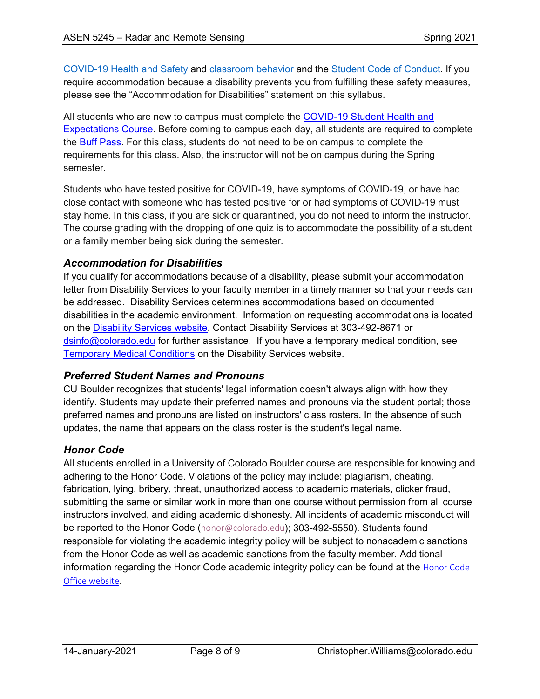[COVID-19 Health and Safety](https://www.colorado.edu/policies/covid-19-health-and-safety-policy) and [classroom behavior](http://www.colorado.edu/policies/student-classroom-and-course-related-behavior) and the [Student Code of Conduct.](http://www.colorado.edu/osccr/) If you require accommodation because a disability prevents you from fulfilling these safety measures, please see the "Accommodation for Disabilities" statement on this syllabus.

All students who are new to campus must complete the [COVID-19 Student Health and](https://www.colorado.edu/protect-our-herd/how#anchor1)  [Expectations Course.](https://www.colorado.edu/protect-our-herd/how#anchor1) Before coming to campus each day, all students are required to complete the [Buff Pass.](https://pass.colorado.edu/login) For this class, students do not need to be on campus to complete the requirements for this class. Also, the instructor will not be on campus during the Spring semester.

Students who have tested positive for COVID-19, have symptoms of COVID-19, or have had close contact with someone who has tested positive for or had symptoms of COVID-19 must stay home. In this class, if you are sick or quarantined, you do not need to inform the instructor. The course grading with the dropping of one quiz is to accommodate the possibility of a student or a family member being sick during the semester.

## *Accommodation for Disabilities*

If you qualify for accommodations because of a disability, please submit your accommodation letter from Disability Services to your faculty member in a timely manner so that your needs can be addressed. Disability Services determines accommodations based on documented disabilities in the academic environment. Information on requesting accommodations is located on the [Disability Services website.](https://www.colorado.edu/disabilityservices/) Contact Disability Services at 303-492-8671 or [dsinfo@colorado.edu](mailto:dsinfo@colorado.edu) for further assistance. If you have a temporary medical condition, see [Temporary Medical Conditions](http://www.colorado.edu/disabilityservices/students/temporary-medical-conditions) on the Disability Services website.

## *Preferred Student Names and Pronouns*

CU Boulder recognizes that students' legal information doesn't always align with how they identify. Students may update their preferred names and pronouns via the student portal; those preferred names and pronouns are listed on instructors' class rosters. In the absence of such updates, the name that appears on the class roster is the student's legal name.

## *Honor Code*

All students enrolled in a University of Colorado Boulder course are responsible for knowing and adhering to the Honor Code. Violations of the policy may include: plagiarism, cheating, fabrication, lying, bribery, threat, unauthorized access to academic materials, clicker fraud, submitting the same or similar work in more than one course without permission from all course instructors involved, and aiding academic dishonesty. All incidents of academic misconduct will be reported to the Honor Code ([honor@colorado.edu](mailto:honor@colorado.edu)); 303-492-5550). Students found responsible for violating the academic integrity policy will be subject to nonacademic sanctions from the Honor Code as well as academic sanctions from the faculty member. Additional information regarding the [Honor Code](https://www.colorado.edu/osccr/honor-code) academic integrity policy can be found at the Honor Code [Office website](https://www.colorado.edu/osccr/honor-code).